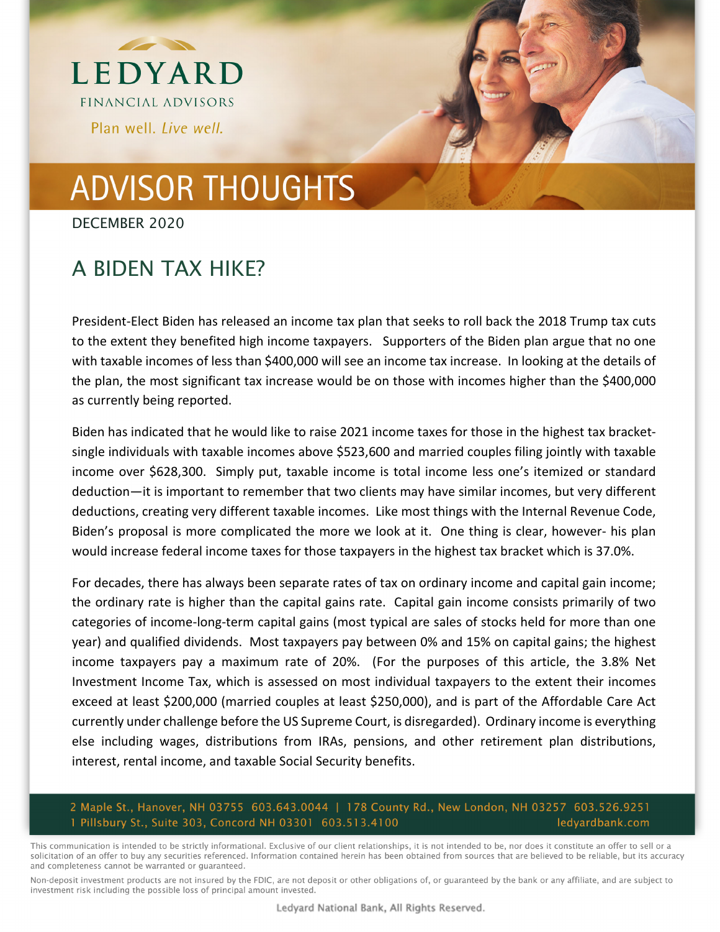

# **ADVISOR THOUGHTS**

DECEMBER 2020

### A BIDEN TAX HIKE?

President‐Elect Biden has released an income tax plan that seeks to roll back the 2018 Trump tax cuts to the extent they benefited high income taxpayers. Supporters of the Biden plan argue that no one with taxable incomes of less than \$400,000 will see an income tax increase. In looking at the details of the plan, the most significant tax increase would be on those with incomes higher than the \$400,000 as currently being reported.

Biden has indicated that he would like to raise 2021 income taxes for those in the highest tax bracket‐ single individuals with taxable incomes above \$523,600 and married couples filing jointly with taxable income over \$628,300. Simply put, taxable income is total income less one's itemized or standard deduction—it is important to remember that two clients may have similar incomes, but very different deductions, creating very different taxable incomes. Like most things with the Internal Revenue Code, Biden's proposal is more complicated the more we look at it. One thing is clear, however‐ his plan would increase federal income taxes for those taxpayers in the highest tax bracket which is 37.0%.

For decades, there has always been separate rates of tax on ordinary income and capital gain income; the ordinary rate is higher than the capital gains rate. Capital gain income consists primarily of two categories of income‐long‐term capital gains (most typical are sales of stocks held for more than one year) and qualified dividends. Most taxpayers pay between 0% and 15% on capital gains; the highest income taxpayers pay a maximum rate of 20%. (For the purposes of this article, the 3.8% Net Investment Income Tax, which is assessed on most individual taxpayers to the extent their incomes exceed at least \$200,000 (married couples at least \$250,000), and is part of the Affordable Care Act currently under challenge before the US Supreme Court, is disregarded). Ordinary income is everything else including wages, distributions from IRAs, pensions, and other retirement plan distributions, interest, rental income, and taxable Social Security benefits.

#### 2 Maple St., Hanover, NH 03755 603.643.0044 | 178 County Rd., New London, NH 03257 603.526.9251 1 Pillsbury St., Suite 303, Concord NH 03301 603.513.4100 ledyardbank.com

This communication is intended to be strictly informational. Exclusive of our client relationships, it is not intended to be, nor does it constitute an offer to sell or a solicitation of an offer to buy any securities referenced. Information contained herein has been obtained from sources that are believed to be reliable, but its accuracy and completeness cannot be warranted or guaranteed.

Non-deposit investment products are not insured by the FDIC, are not deposit or other obligations of, or guaranteed by the bank or any affiliate, and are subject to investment risk including the possible loss of principal amount invested.

Ledyard National Bank, All Rights Reserved.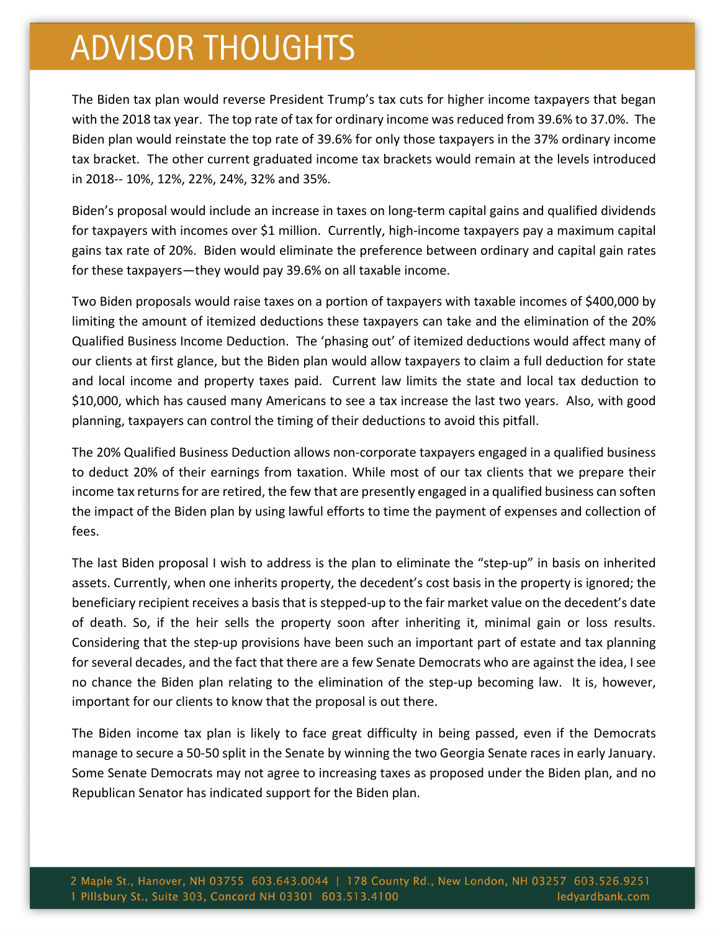### **ADVISOR THOUGHTS**

The Biden tax plan would reverse President Trump's tax cuts for higher income taxpayers that began with the 2018 tax year. The top rate of tax for ordinary income wasreduced from 39.6% to 37.0%. The Biden plan would reinstate the top rate of 39.6% for only those taxpayers in the 37% ordinary income tax bracket. The other current graduated income tax brackets would remain at the levels introduced in 2018‐‐ 10%, 12%, 22%, 24%, 32% and 35%.

Biden's proposal would include an increase in taxes on long‐term capital gains and qualified dividends for taxpayers with incomes over \$1 million. Currently, high-income taxpayers pay a maximum capital gains tax rate of 20%. Biden would eliminate the preference between ordinary and capital gain rates for these taxpayers—they would pay 39.6% on all taxable income.

Two Biden proposals would raise taxes on a portion of taxpayers with taxable incomes of \$400,000 by limiting the amount of itemized deductions these taxpayers can take and the elimination of the 20% Qualified Business Income Deduction. The 'phasing out' of itemized deductions would affect many of our clients at first glance, but the Biden plan would allow taxpayers to claim a full deduction for state and local income and property taxes paid. Current law limits the state and local tax deduction to \$10,000, which has caused many Americans to see a tax increase the last two years. Also, with good planning, taxpayers can control the timing of their deductions to avoid this pitfall.

The 20% Qualified Business Deduction allows non‐corporate taxpayers engaged in a qualified business to deduct 20% of their earnings from taxation. While most of our tax clients that we prepare their income tax returns for are retired, the few that are presently engaged in a qualified business can soften the impact of the Biden plan by using lawful efforts to time the payment of expenses and collection of fees.

The last Biden proposal I wish to address is the plan to eliminate the "step‐up" in basis on inherited assets. Currently, when one inherits property, the decedent's cost basis in the property is ignored; the beneficiary recipient receives a basis that is stepped-up to the fair market value on the decedent's date of death. So, if the heir sells the property soon after inheriting it, minimal gain or loss results. Considering that the step-up provisions have been such an important part of estate and tax planning for several decades, and the fact that there are a few Senate Democrats who are against the idea, I see no chance the Biden plan relating to the elimination of the step-up becoming law. It is, however, important for our clients to know that the proposal is out there.

The Biden income tax plan is likely to face great difficulty in being passed, even if the Democrats manage to secure a 50‐50 split in the Senate by winning the two Georgia Senate races in early January. Some Senate Democrats may not agree to increasing taxes as proposed under the Biden plan, and no Republican Senator has indicated support for the Biden plan.